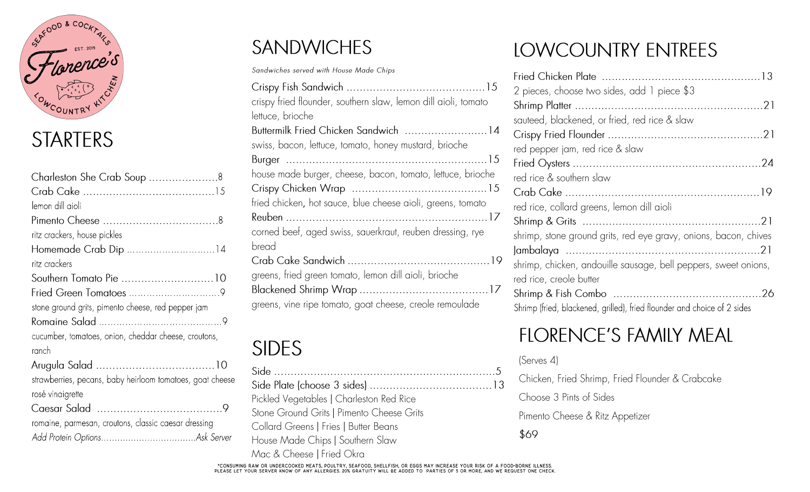

#### **STARTERS**

| Charleston She Crab Soup 8                                |
|-----------------------------------------------------------|
|                                                           |
| lemon dill aioli                                          |
|                                                           |
| ritz crackers, house pickles                              |
|                                                           |
| ritz crackers                                             |
| Southern Tomato Pie 10                                    |
|                                                           |
| stone ground grits, pimento cheese, red pepper jam        |
|                                                           |
| cucumber, tomatoes, onion, cheddar cheese, croutons,      |
| ranch                                                     |
|                                                           |
| strawberries, pecans, baby heirloom tomatoes, goat cheese |
| rosé vinaigrette                                          |
|                                                           |
| romaine, parmesan, croutons, classic caesar dressing      |
|                                                           |

#### **SANDWICHES**

Sandwiches served with House Made Chips

| crispy fried flounder, southern slaw, lemon dill aioli, tomato |
|----------------------------------------------------------------|
| lettuce, brioche                                               |
| Buttermilk Fried Chicken Sandwich  14                          |
| swiss, bacon, lettuce, tomato, honey mustard, brioche          |
|                                                                |
| house made burger, cheese, bacon, tomato, lettuce, brioche     |
|                                                                |
| fried chicken, hot sauce, blue cheese aioli, greens, tomato    |
|                                                                |
| corned beef, aged swiss, sauerkraut, reuben dressing, rye      |
| bread                                                          |
|                                                                |
| greens, fried green tomato, lemon dill aioli, brioche          |
|                                                                |
| greens, vine ripe tomato, goat cheese, creole remoulade        |

## **SIDES**

Pickled Vegetables | Charleston Red Rice Stone Ground Grits | Pimento Cheese Grits Collard Greens | Fries | Butter Beans House Made Chips | Southern Slaw Mac & Cheese | Fried Okra

### **LOWCOUNTRY ENTREES**

| 2 pieces, choose two sides, add 1 piece \$3                              |
|--------------------------------------------------------------------------|
|                                                                          |
| sauteed, blackened, or fried, red rice & slaw                            |
|                                                                          |
| red pepper jam, red rice & slaw                                          |
|                                                                          |
| red rice & southern slaw                                                 |
|                                                                          |
| red rice, collard greens, lemon dill aioli                               |
|                                                                          |
| shrimp, stone ground grits, red eye gravy, onions, bacon, chives         |
|                                                                          |
| shrimp, chicken, andouille sausage, bell peppers, sweet onions,          |
| red rice, creole butter                                                  |
|                                                                          |
| Shrimp (fried, blackened, grilled), fried flounder and choice of 2 sides |

#### **FLORENCE'S FAMILY MEAL**

(Serves 4)

Chicken, Fried Shrimp, Fried Flounder & Crabcake

Choose 3 Pints of Sides

Pimento Cheese & Ritz Appetizer

\$69

CONSUMING RAW OR UNDERCOOKED MEATS, POULTRY, SEAFOOD, SHELLFISH, OR EGGS MAY INCREASE YOUR RISK OF A FOOD-BORNE ILLNESS. "<br>PLEASE LET YOUR SERVER KNOW OF ANY ALLERGIES. 20% GRATUITY WILL BE ADDED TO PARTIES OF 5 OR MORE, A